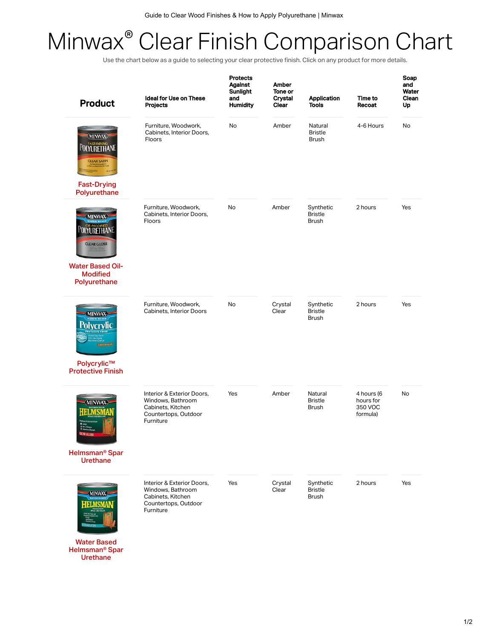## Minwax® Clear Finish Comparison Chart

Use the chart below as a guide to selecting your clear protective finish. Click on any product for more details.

| <b>Product</b>                                                                                                                   | Ideal for Use on These<br>Projects                                                                        | <b>Protects</b><br><b>Against</b><br>Sunlight<br>and<br><b>Humidity</b> | Amber<br>Tone or<br><b>Crystal</b><br>Clear | <b>Application</b><br><b>Tools</b>          | Time to<br>Recoat                              | Soap<br>and<br>Water<br>Clean<br>Up |
|----------------------------------------------------------------------------------------------------------------------------------|-----------------------------------------------------------------------------------------------------------|-------------------------------------------------------------------------|---------------------------------------------|---------------------------------------------|------------------------------------------------|-------------------------------------|
| (MINWAX)<br>POLYURETHANI<br><b>CLEAR SATIN</b><br><b>Fast-Drying</b>                                                             | Furniture, Woodwork,<br>Cabinets, Interior Doors,<br>Floors                                               | <b>No</b>                                                               | Amber                                       | Natural<br><b>Bristle</b><br><b>Brush</b>   | 4-6 Hours                                      | No                                  |
| Polyurethane<br><b>MINWAX</b><br>OLYURETHANE<br><b>CLEAR GLOSS</b><br><b>Water Based Oil-</b><br><b>Modified</b><br>Polyurethane | Furniture, Woodwork,<br>Cabinets, Interior Doors,<br>Floors                                               | <b>No</b>                                                               | Amber                                       | Synthetic<br><b>Bristle</b><br><b>Brush</b> | 2 hours                                        | Yes                                 |
| <b>MINWAX</b><br><b>CLEAR SEMI-SLOSS</b><br>Polycrylic™<br><b>Protective Finish</b>                                              | Furniture, Woodwork,<br>Cabinets, Interior Doors                                                          | No                                                                      | Crystal<br>Clear                            | Synthetic<br><b>Bristle</b><br><b>Brush</b> | 2 hours                                        | Yes                                 |
| <b>MINWAX</b><br><sup>*</sup> Tain & Moisture<br>R GLOSS<br>Helmsman <sup>®</sup> Spar<br><b>Urethane</b>                        | Interior & Exterior Doors.<br>Windows, Bathroom<br>Cabinets, Kitchen<br>Countertops, Outdoor<br>Furniture | Yes                                                                     | Amber                                       | Natural<br><b>Bristle</b><br><b>Brush</b>   | 4 hours (6<br>hours for<br>350 VOC<br>formula) | No                                  |
| MINWAX<br>-IBLMSM<br><b>Water Based</b><br>Helmsman <sup>®</sup> Spar                                                            | Interior & Exterior Doors,<br>Windows, Bathroom<br>Cabinets, Kitchen<br>Countertops, Outdoor<br>Furniture | Yes                                                                     | Crystal<br>Clear                            | Synthetic<br><b>Bristle</b><br><b>Brush</b> | 2 hours                                        | Yes                                 |

Urethane<sup>1</sup>